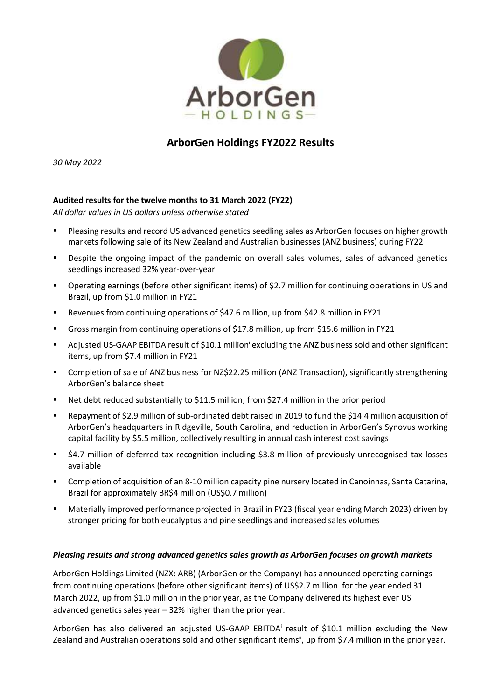

# **ArborGen Holdings FY2022 Results**

*30 May 2022*

## **Audited results for the twelve months to 31 March 2022 (FY22)**

*All dollar values in US dollars unless otherwise stated*

- Pleasing results and record US advanced genetics seedling sales as ArborGen focuses on higher growth markets following sale of its New Zealand and Australian businesses (ANZ business) during FY22
- **•** Despite the ongoing impact of the pandemic on overall sales volumes, sales of advanced genetics seedlings increased 32% year-over-year
- Operating earnings (before other significant items) of \$2.7 million for continuing operations in US and Brazil, up from \$1.0 million in FY21
- Revenues from continuing operations of \$47.6 million, up from \$42.8 million in FY21
- Gross margin from continuing operations of \$17.8 million, up from \$15.6 million in FY21
- **Adjusted US-GAAP EBITDA result of \$10.1 million<sup>i</sup> excluding the ANZ business sold and other significant** items, up from \$7.4 million in FY21
- Completion of sale of ANZ business for NZ\$22.25 million (ANZ Transaction), significantly strengthening ArborGen's balance sheet
- Net debt reduced substantially to \$11.5 million, from \$27.4 million in the prior period
- Repayment of \$2.9 million of sub-ordinated debt raised in 2019 to fund the \$14.4 million acquisition of ArborGen's headquarters in Ridgeville, South Carolina, and reduction in ArborGen's Synovus working capital facility by \$5.5 million, collectively resulting in annual cash interest cost savings
- \$4.7 million of deferred tax recognition including \$3.8 million of previously unrecognised tax losses available
- Completion of acquisition of an 8-10 million capacity pine nursery located in Canoinhas, Santa Catarina, Brazil for approximately BR\$4 million (US\$0.7 million)
- Materially improved performance projected in Brazil in FY23 (fiscal year ending March 2023) driven by stronger pricing for both eucalyptus and pine seedlings and increased sales volumes

#### *Pleasing results and strong advanced genetics sales growth as ArborGen focuses on growth markets*

ArborGen Holdings Limited (NZX: ARB) (ArborGen or the Company) has announced operating earnings from continuing operations (before other significant items) of US\$2.7 million for the year ended 31 March 2022, up from \$1.0 million in the prior year, as the Company delivered its highest ever US advanced genetics sales year – 32% higher than the prior year.

ArborGen has also delivered an adjusted US-GAAP EBITDA<sup>i</sup> result of \$10.1 million excluding the New Zealand and Australian operations sold and other significant items<sup>ii</sup>, up from \$7.4 million in the prior year.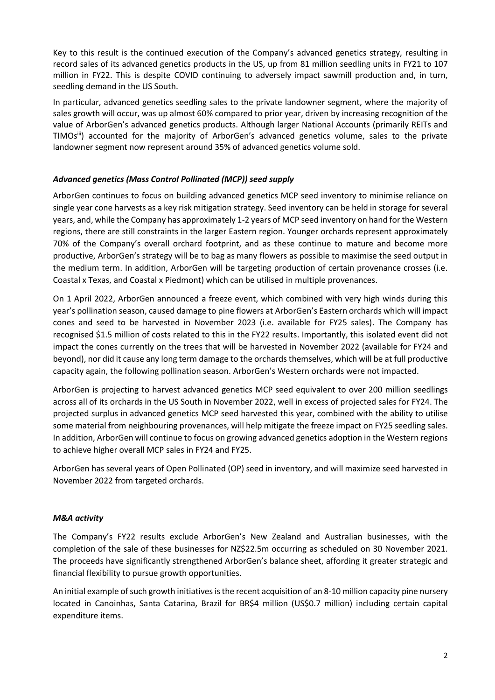Key to this result is the continued execution of the Company's advanced genetics strategy, resulting in record sales of its advanced genetics products in the US, up from 81 million seedling units in FY21 to 107 million in FY22. This is despite COVID continuing to adversely impact sawmill production and, in turn, seedling demand in the US South.

In particular, advanced genetics seedling sales to the private landowner segment, where the majority of sales growth will occur, was up almost 60% compared to prior year, driven by increasing recognition of the value of ArborGen's advanced genetics products. Although larger National Accounts (primarily REITs and TIMOs<sup>iii</sup>) accounted for the majority of ArborGen's advanced genetics volume, sales to the private landowner segment now represent around 35% of advanced genetics volume sold.

### *Advanced genetics (Mass Control Pollinated (MCP)) seed supply*

ArborGen continues to focus on building advanced genetics MCP seed inventory to minimise reliance on single year cone harvests as a key risk mitigation strategy. Seed inventory can be held in storage for several years, and, while the Company has approximately 1-2 years of MCP seed inventory on hand for the Western regions, there are still constraints in the larger Eastern region. Younger orchards represent approximately 70% of the Company's overall orchard footprint, and as these continue to mature and become more productive, ArborGen's strategy will be to bag as many flowers as possible to maximise the seed output in the medium term. In addition, ArborGen will be targeting production of certain provenance crosses (i.e. Coastal x Texas, and Coastal x Piedmont) which can be utilised in multiple provenances.

On 1 April 2022, ArborGen announced a freeze event, which combined with very high winds during this year's pollination season, caused damage to pine flowers at ArborGen's Eastern orchards which will impact cones and seed to be harvested in November 2023 (i.e. available for FY25 sales). The Company has recognised \$1.5 million of costs related to this in the FY22 results. Importantly, this isolated event did not impact the cones currently on the trees that will be harvested in November 2022 (available for FY24 and beyond), nor did it cause any long term damage to the orchards themselves, which will be at full productive capacity again, the following pollination season. ArborGen's Western orchards were not impacted.

ArborGen is projecting to harvest advanced genetics MCP seed equivalent to over 200 million seedlings across all of its orchards in the US South in November 2022, well in excess of projected sales for FY24. The projected surplus in advanced genetics MCP seed harvested this year, combined with the ability to utilise some material from neighbouring provenances, will help mitigate the freeze impact on FY25 seedling sales. In addition, ArborGen will continue to focus on growing advanced genetics adoption in the Western regions to achieve higher overall MCP sales in FY24 and FY25.

ArborGen has several years of Open Pollinated (OP) seed in inventory, and will maximize seed harvested in November 2022 from targeted orchards.

#### *M&A activity*

The Company's FY22 results exclude ArborGen's New Zealand and Australian businesses, with the completion of the sale of these businesses for NZ\$22.5m occurring as scheduled on 30 November 2021. The proceeds have significantly strengthened ArborGen's balance sheet, affording it greater strategic and financial flexibility to pursue growth opportunities.

An initial example ofsuch growth initiatives is the recent acquisition of an 8-10 million capacity pine nursery located in Canoinhas, Santa Catarina, Brazil for BR\$4 million (US\$0.7 million) including certain capital expenditure items.